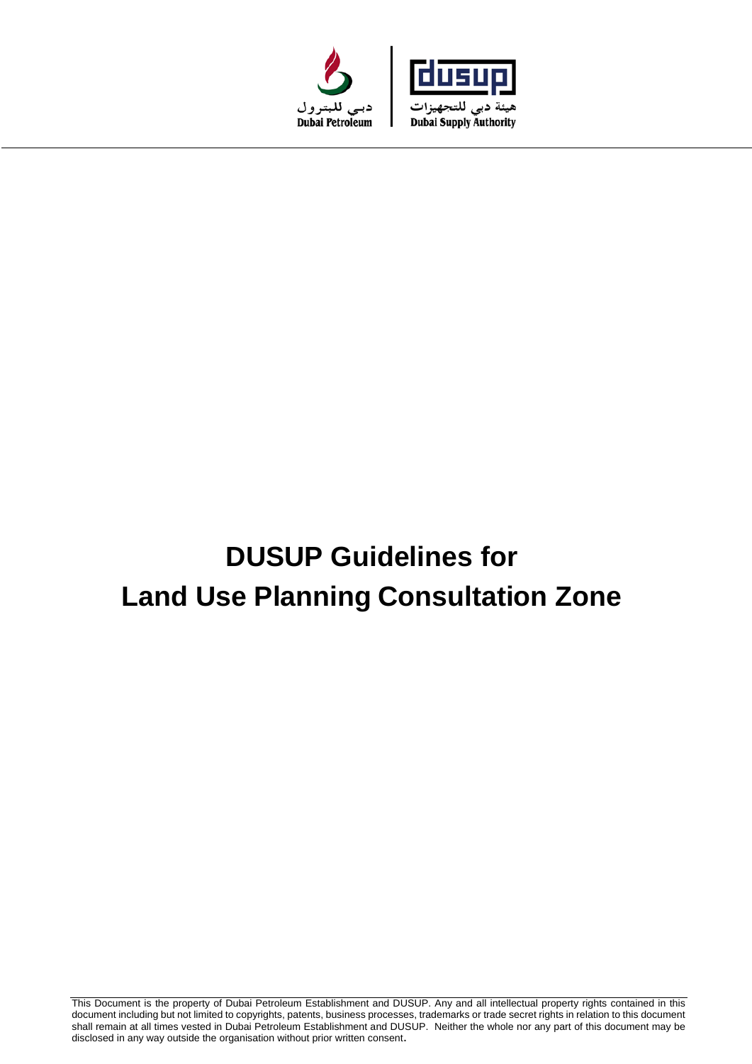



# **DUSUP Guidelines for Land Use Planning Consultation Zone**

This Document is the property of Dubai Petroleum Establishment and DUSUP. Any and all intellectual property rights contained in this document including but not limited to copyrights, patents, business processes, trademarks or trade secret rights in relation to this document shall remain at all times vested in Dubai Petroleum Establishment and DUSUP. Neither the whole nor any part of this document may be disclosed in any way outside the organisation without prior written consent.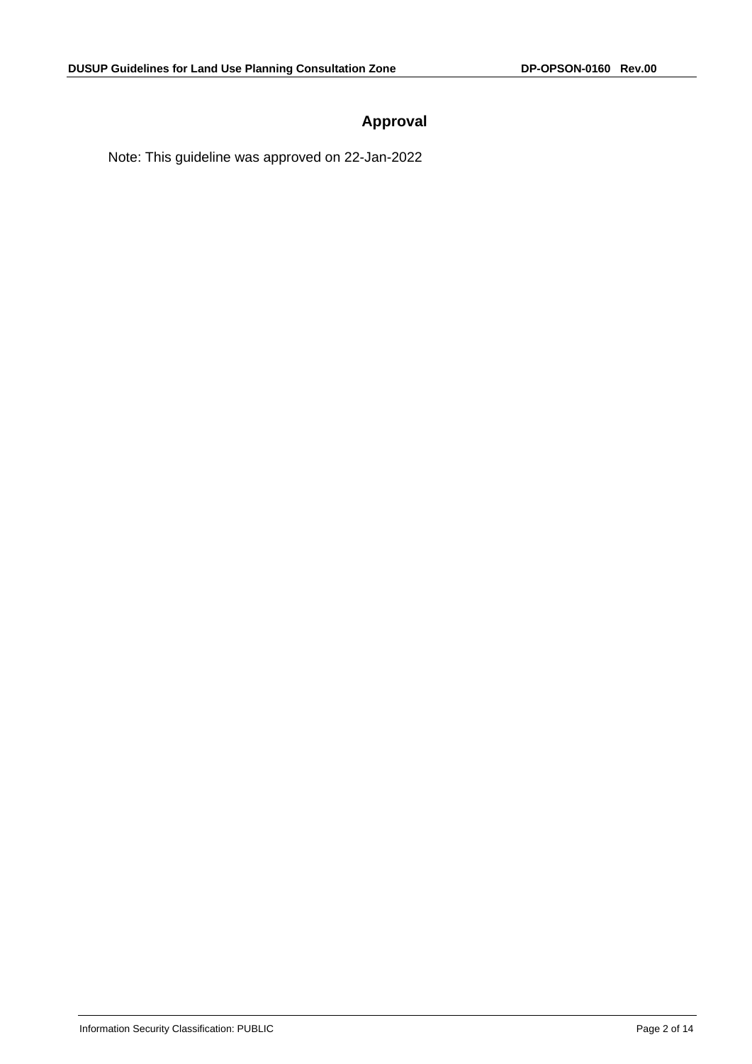# **Approval**

Note: This guideline was approved on 22-Jan-2022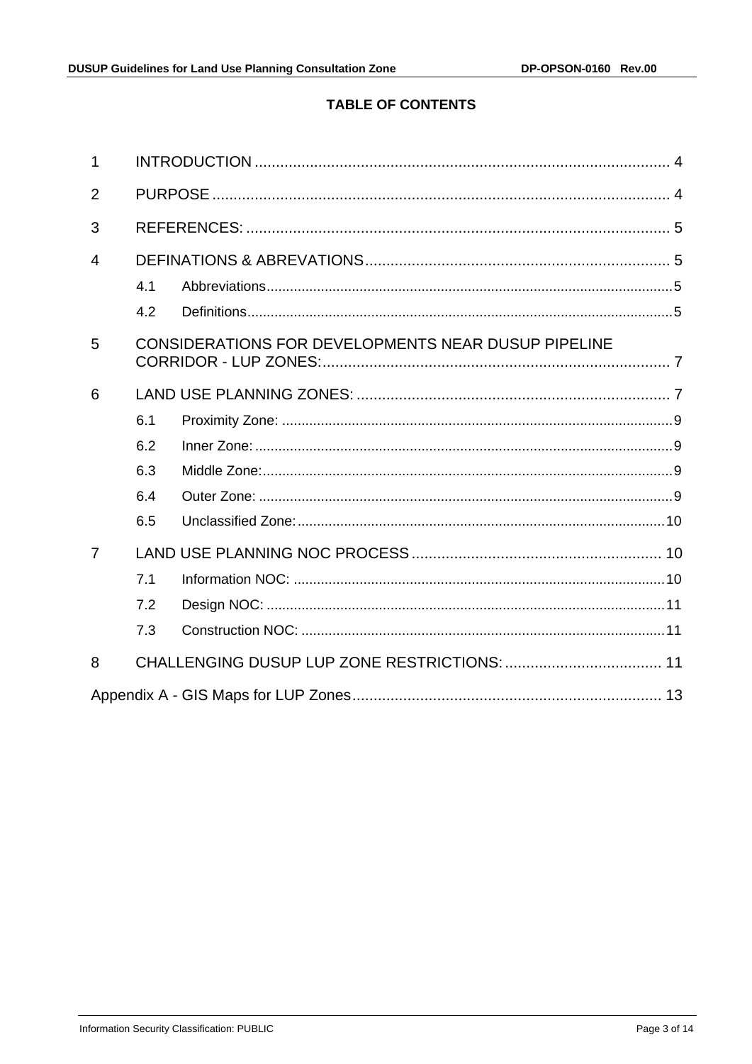# **TABLE OF CONTENTS**

| 1              |     |                                                     |  |  |  |
|----------------|-----|-----------------------------------------------------|--|--|--|
| $\overline{2}$ |     |                                                     |  |  |  |
| 3              |     |                                                     |  |  |  |
| $\overline{4}$ |     |                                                     |  |  |  |
|                | 4.1 |                                                     |  |  |  |
|                | 4.2 |                                                     |  |  |  |
| 5              |     | CONSIDERATIONS FOR DEVELOPMENTS NEAR DUSUP PIPELINE |  |  |  |
| 6              |     |                                                     |  |  |  |
|                | 6.1 |                                                     |  |  |  |
|                | 6.2 |                                                     |  |  |  |
|                | 6.3 |                                                     |  |  |  |
|                | 6.4 |                                                     |  |  |  |
|                | 6.5 |                                                     |  |  |  |
| 7              |     |                                                     |  |  |  |
|                | 7.1 |                                                     |  |  |  |
|                | 7.2 |                                                     |  |  |  |
|                | 7.3 |                                                     |  |  |  |
| 8              |     |                                                     |  |  |  |
|                |     |                                                     |  |  |  |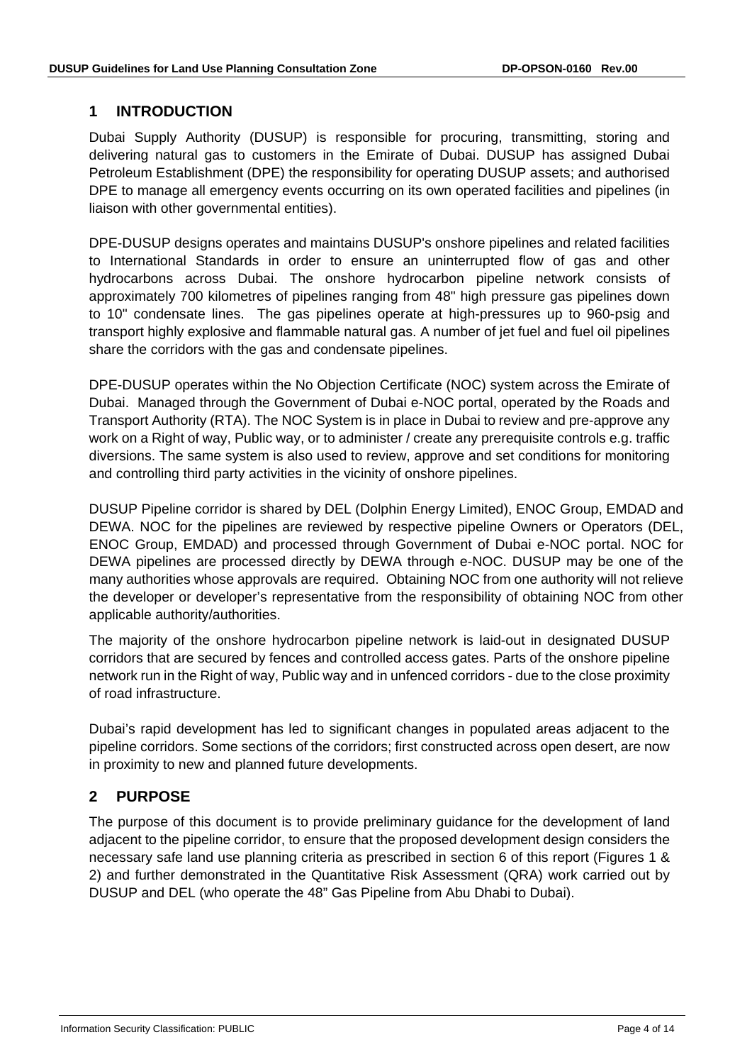## <span id="page-3-0"></span>**1 INTRODUCTION**

Dubai Supply Authority (DUSUP) is responsible for procuring, transmitting, storing and delivering natural gas to customers in the Emirate of Dubai. DUSUP has assigned Dubai Petroleum Establishment (DPE) the responsibility for operating DUSUP assets; and authorised DPE to manage all emergency events occurring on its own operated facilities and pipelines (in liaison with other governmental entities).

DPE-DUSUP designs operates and maintains DUSUP's onshore pipelines and related facilities to International Standards in order to ensure an uninterrupted flow of gas and other hydrocarbons across Dubai. The onshore hydrocarbon pipeline network consists of approximately 700 kilometres of pipelines ranging from 48" high pressure gas pipelines down to 10" condensate lines. The gas pipelines operate at high-pressures up to 960-psig and transport highly explosive and flammable natural gas. A number of jet fuel and fuel oil pipelines share the corridors with the gas and condensate pipelines.

DPE-DUSUP operates within the No Objection Certificate (NOC) system across the Emirate of Dubai. Managed through the Government of Dubai e-NOC portal, operated by the Roads and Transport Authority (RTA). The NOC System is in place in Dubai to review and pre-approve any work on a Right of way, Public way, or to administer / create any prerequisite controls e.g. traffic diversions. The same system is also used to review, approve and set conditions for monitoring and controlling third party activities in the vicinity of onshore pipelines.

DUSUP Pipeline corridor is shared by DEL (Dolphin Energy Limited), ENOC Group, EMDAD and DEWA. NOC for the pipelines are reviewed by respective pipeline Owners or Operators (DEL, ENOC Group, EMDAD) and processed through Government of Dubai e-NOC portal. NOC for DEWA pipelines are processed directly by DEWA through e-NOC. DUSUP may be one of the many authorities whose approvals are required. Obtaining NOC from one authority will not relieve the developer or developer's representative from the responsibility of obtaining NOC from other applicable authority/authorities.

The majority of the onshore hydrocarbon pipeline network is laid-out in designated DUSUP corridors that are secured by fences and controlled access gates. Parts of the onshore pipeline network run in the Right of way, Public way and in unfenced corridors - due to the close proximity of road infrastructure.

Dubai's rapid development has led to significant changes in populated areas adjacent to the pipeline corridors. Some sections of the corridors; first constructed across open desert, are now in proximity to new and planned future developments.

# <span id="page-3-1"></span>**2 PURPOSE**

The purpose of this document is to provide preliminary guidance for the development of land adjacent to the pipeline corridor, to ensure that the proposed development design considers the necessary safe land use planning criteria as prescribed in section 6 of this report (Figures 1 & 2) and further demonstrated in the Quantitative Risk Assessment (QRA) work carried out by DUSUP and DEL (who operate the 48" Gas Pipeline from Abu Dhabi to Dubai).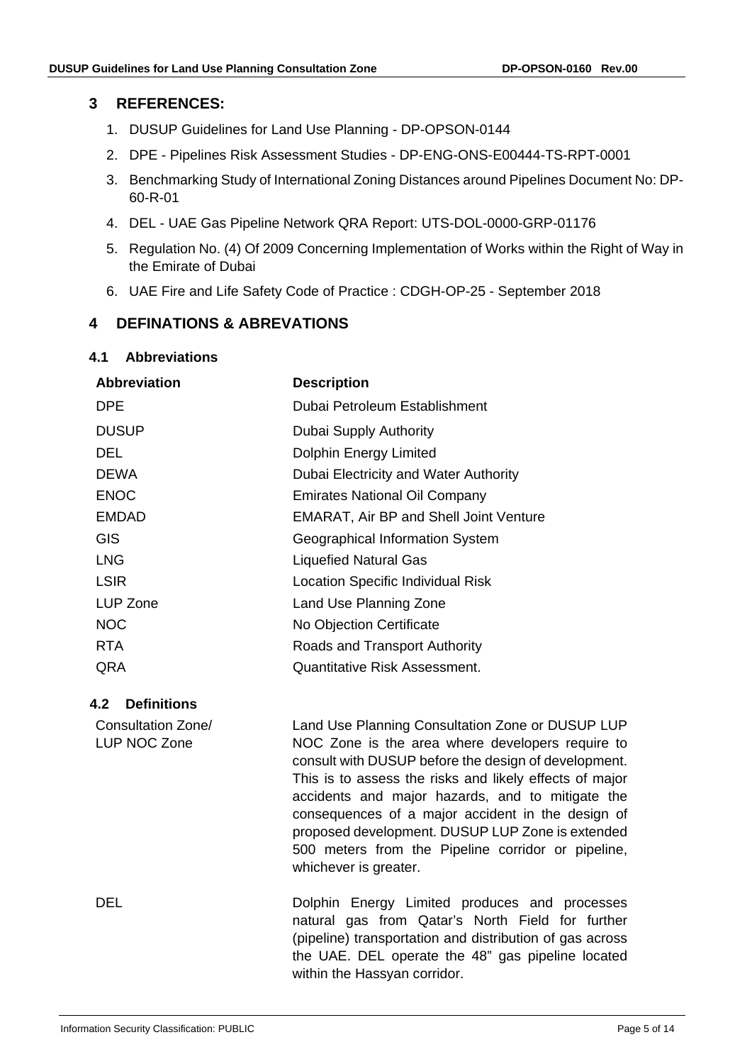## <span id="page-4-0"></span>**3 REFERENCES:**

- 1. DUSUP Guidelines for Land Use Planning DP-OPSON-0144
- 2. DPE Pipelines Risk Assessment Studies DP-ENG-ONS-E00444-TS-RPT-0001
- 3. Benchmarking Study of International Zoning Distances around Pipelines Document No: DP-60-R-01
- 4. DEL UAE Gas Pipeline Network QRA Report: UTS-DOL-0000-GRP-01176
- 5. Regulation No. (4) Of 2009 Concerning Implementation of Works within the Right of Way in the Emirate of Dubai
- 6. UAE Fire and Life Safety Code of Practice : CDGH-OP-25 September 2018

## <span id="page-4-1"></span>**4 DEFINATIONS & ABREVATIONS**

#### <span id="page-4-2"></span>**4.1 Abbreviations**

| <b>Abbreviation</b> | <b>Description</b>                            |
|---------------------|-----------------------------------------------|
| <b>DPE</b>          | Dubai Petroleum Establishment                 |
| <b>DUSUP</b>        | Dubai Supply Authority                        |
| DEL.                | <b>Dolphin Energy Limited</b>                 |
| <b>DEWA</b>         | Dubai Electricity and Water Authority         |
| <b>ENOC</b>         | <b>Emirates National Oil Company</b>          |
| <b>EMDAD</b>        | <b>EMARAT, Air BP and Shell Joint Venture</b> |
| <b>GIS</b>          | Geographical Information System               |
| <b>LNG</b>          | <b>Liquefied Natural Gas</b>                  |
| <b>LSIR</b>         | <b>Location Specific Individual Risk</b>      |
| LUP Zone            | Land Use Planning Zone                        |
| NOC                 | No Objection Certificate                      |
| RTA.                | Roads and Transport Authority                 |
| QRA                 | <b>Quantitative Risk Assessment.</b>          |

#### <span id="page-4-3"></span>**4.2 Definitions**

Consultation Zone/ LUP NOC Zone

Land Use Planning Consultation Zone or DUSUP LUP NOC Zone is the area where developers require to consult with DUSUP before the design of development. This is to assess the risks and likely effects of major accidents and major hazards, and to mitigate the consequences of a major accident in the design of proposed development. DUSUP LUP Zone is extended 500 meters from the Pipeline corridor or pipeline, whichever is greater.

DEL Dolphin Energy Limited produces and processes natural gas from Qatar's North Field for further (pipeline) transportation and distribution of gas across the UAE. DEL operate the 48" gas pipeline located within the Hassyan corridor.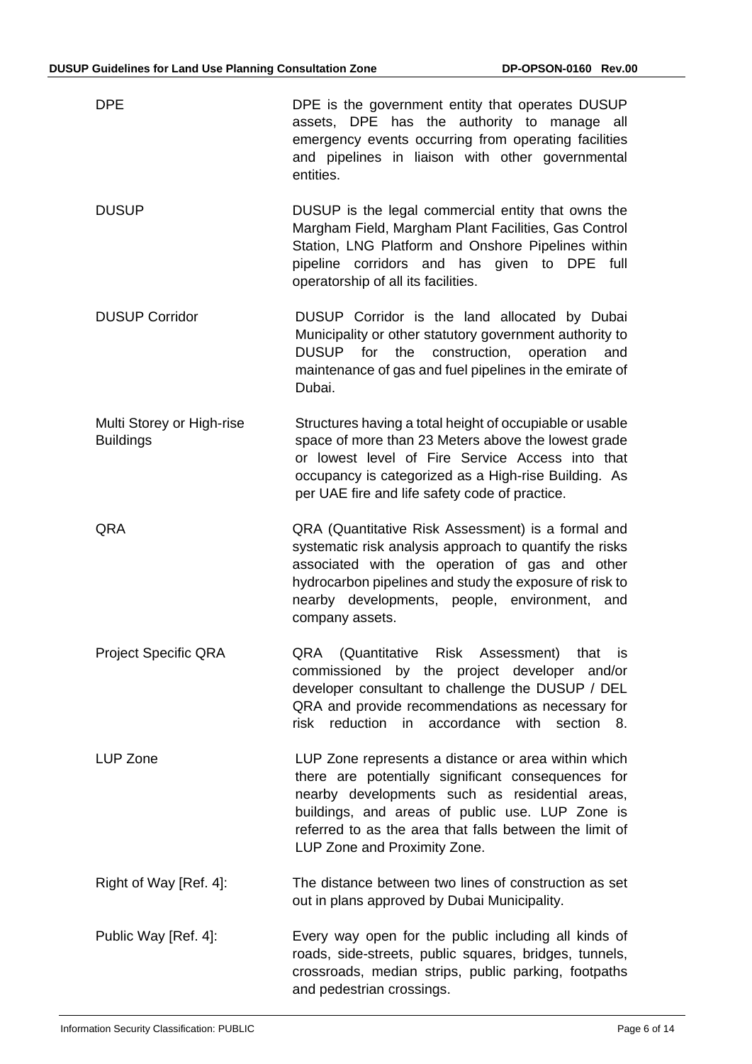| <b>DPE</b>                                    | DPE is the government entity that operates DUSUP<br>assets, DPE has the authority to<br>manage all<br>emergency events occurring from operating facilities<br>and pipelines in liaison with other governmental<br>entities.                                                                               |
|-----------------------------------------------|-----------------------------------------------------------------------------------------------------------------------------------------------------------------------------------------------------------------------------------------------------------------------------------------------------------|
| <b>DUSUP</b>                                  | DUSUP is the legal commercial entity that owns the<br>Margham Field, Margham Plant Facilities, Gas Control<br>Station, LNG Platform and Onshore Pipelines within<br>pipeline corridors and has given to DPE full<br>operatorship of all its facilities.                                                   |
| <b>DUSUP Corridor</b>                         | DUSUP Corridor is the land allocated by Dubai<br>Municipality or other statutory government authority to<br>for<br>construction,<br><b>DUSUP</b><br>the<br>operation<br>and<br>maintenance of gas and fuel pipelines in the emirate of<br>Dubai.                                                          |
| Multi Storey or High-rise<br><b>Buildings</b> | Structures having a total height of occupiable or usable<br>space of more than 23 Meters above the lowest grade<br>or lowest level of Fire Service Access into that<br>occupancy is categorized as a High-rise Building. As<br>per UAE fire and life safety code of practice.                             |
| QRA                                           | QRA (Quantitative Risk Assessment) is a formal and<br>systematic risk analysis approach to quantify the risks<br>associated with the operation of gas and other<br>hydrocarbon pipelines and study the exposure of risk to<br>nearby developments, people, environment, and<br>company assets.            |
| <b>Project Specific QRA</b>                   | QRA<br>(Quantitative<br><b>Risk</b><br>Assessment)<br>that<br>is<br>commissioned by the project developer and/or<br>developer consultant to challenge the DUSUP / DEL<br>QRA and provide recommendations as necessary for<br>reduction<br>in accordance with<br>section 8.<br>risk                        |
| LUP Zone                                      | LUP Zone represents a distance or area within which<br>there are potentially significant consequences for<br>nearby developments such as residential areas,<br>buildings, and areas of public use. LUP Zone is<br>referred to as the area that falls between the limit of<br>LUP Zone and Proximity Zone. |
| Right of Way [Ref. 4]:                        | The distance between two lines of construction as set<br>out in plans approved by Dubai Municipality.                                                                                                                                                                                                     |
| Public Way [Ref. 4]:                          | Every way open for the public including all kinds of<br>roads, side-streets, public squares, bridges, tunnels,<br>crossroads, median strips, public parking, footpaths<br>and pedestrian crossings.                                                                                                       |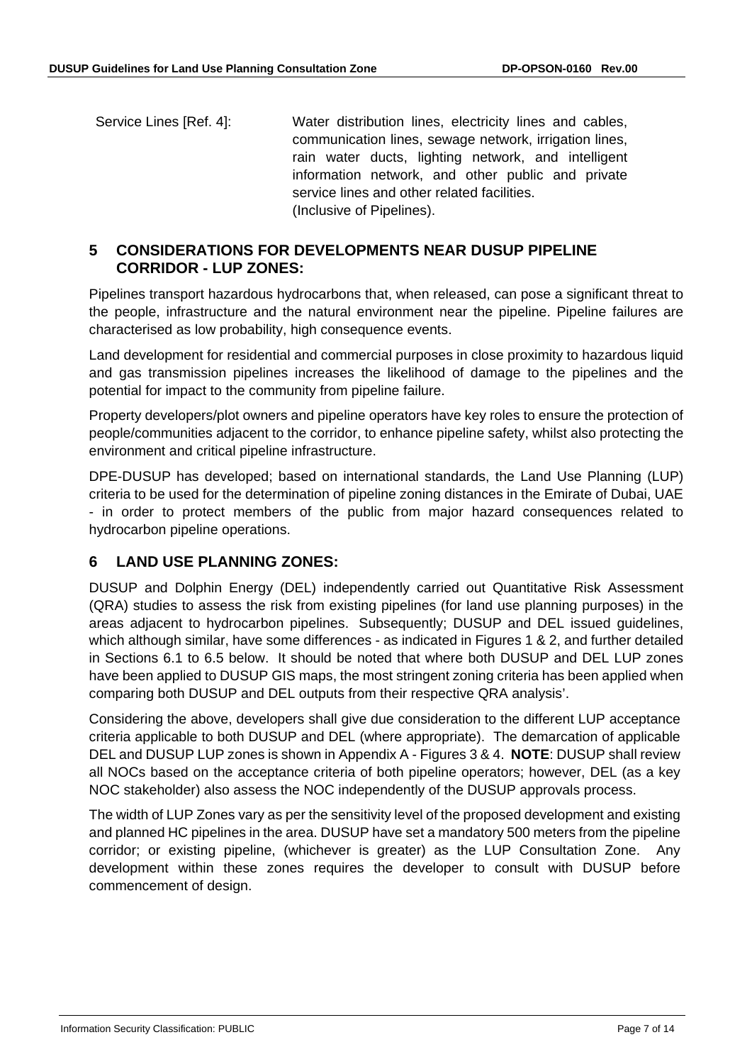Service Lines [Ref. 4]: Water distribution lines, electricity lines and cables, communication lines, sewage network, irrigation lines, rain water ducts, lighting network, and intelligent information network, and other public and private service lines and other related facilities. (Inclusive of Pipelines).

## <span id="page-6-0"></span>**5 CONSIDERATIONS FOR DEVELOPMENTS NEAR DUSUP PIPELINE CORRIDOR - LUP ZONES:**

Pipelines transport hazardous hydrocarbons that, when released, can pose a significant threat to the people, infrastructure and the natural environment near the pipeline. Pipeline failures are characterised as low probability, high consequence events.

Land development for residential and commercial purposes in close proximity to hazardous liquid and gas transmission pipelines increases the likelihood of damage to the pipelines and the potential for impact to the community from pipeline failure.

Property developers/plot owners and pipeline operators have key roles to ensure the protection of people/communities adjacent to the corridor, to enhance pipeline safety, whilst also protecting the environment and critical pipeline infrastructure.

DPE-DUSUP has developed; based on international standards, the Land Use Planning (LUP) criteria to be used for the determination of pipeline zoning distances in the Emirate of Dubai, UAE - in order to protect members of the public from major hazard consequences related to hydrocarbon pipeline operations.

# <span id="page-6-1"></span>**6 LAND USE PLANNING ZONES:**

DUSUP and Dolphin Energy (DEL) independently carried out Quantitative Risk Assessment (QRA) studies to assess the risk from existing pipelines (for land use planning purposes) in the areas adjacent to hydrocarbon pipelines. Subsequently; DUSUP and DEL issued guidelines, which although similar, have some differences - as indicated in Figures 1 & 2, and further detailed in Sections 6.1 to 6.5 below. It should be noted that where both DUSUP and DEL LUP zones have been applied to DUSUP GIS maps, the most stringent zoning criteria has been applied when comparing both DUSUP and DEL outputs from their respective QRA analysis'.

Considering the above, developers shall give due consideration to the different LUP acceptance criteria applicable to both DUSUP and DEL (where appropriate). The demarcation of applicable DEL and DUSUP LUP zones is shown in Appendix A - Figures 3 & 4. **NOTE**: DUSUP shall review all NOCs based on the acceptance criteria of both pipeline operators; however, DEL (as a key NOC stakeholder) also assess the NOC independently of the DUSUP approvals process.

The width of LUP Zones vary as per the sensitivity level of the proposed development and existing and planned HC pipelines in the area. DUSUP have set a mandatory 500 meters from the pipeline corridor; or existing pipeline, (whichever is greater) as the LUP Consultation Zone. Any development within these zones requires the developer to consult with DUSUP before commencement of design.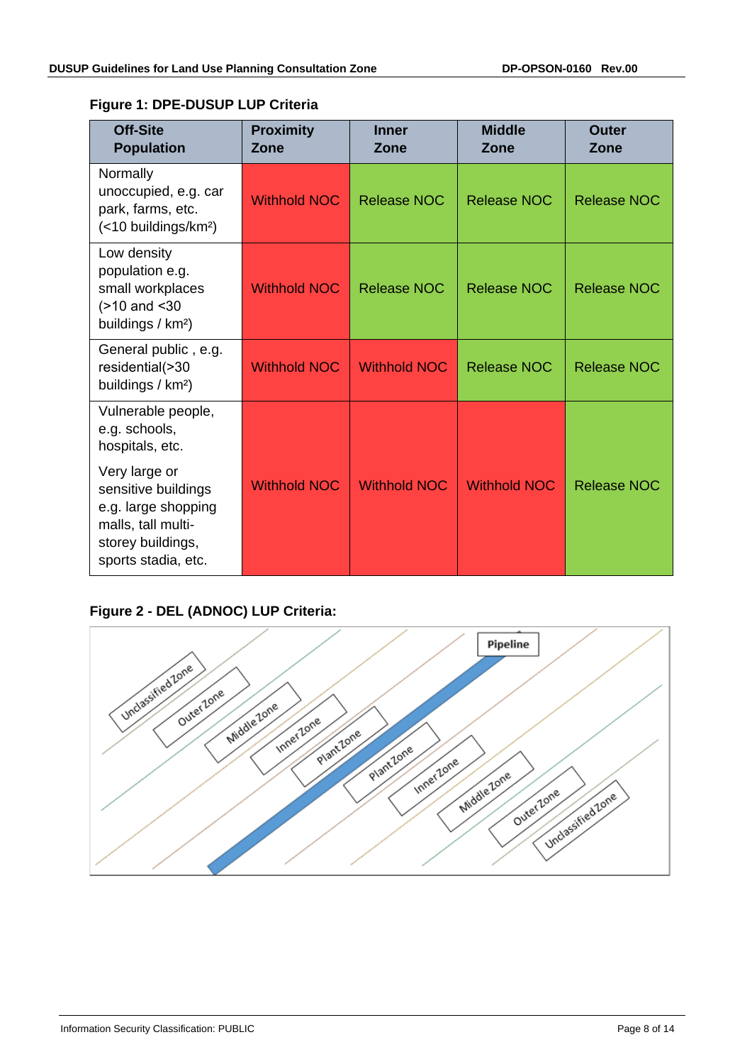| <b>Off-Site</b><br><b>Population</b>                                                                   | <b>Proximity</b><br>Zone | <b>Inner</b><br>Zone | <b>Middle</b><br>Zone | Outer<br>Zone      |
|--------------------------------------------------------------------------------------------------------|--------------------------|----------------------|-----------------------|--------------------|
| Normally<br>unoccupied, e.g. car<br>park, farms, etc.<br>(<10 buildings/km <sup>2</sup> )              | <b>Withhold NOC</b>      | <b>Release NOC</b>   | Release NOC           | <b>Release NOC</b> |
| Low density<br>population e.g.<br>small workplaces<br>$($ >10 and <30<br>buildings / km <sup>2</sup> ) | <b>Withhold NOC</b>      | <b>Release NOC</b>   | <b>Release NOC</b>    | <b>Release NOC</b> |
| General public, e.g.<br>residential(>30<br>buildings / km <sup>2</sup> )                               | <b>Withhold NOC</b>      | <b>Withhold NOC</b>  | <b>Release NOC</b>    | <b>Release NOC</b> |
| Vulnerable people,<br>e.g. schools,<br>hospitals, etc.                                                 |                          |                      |                       |                    |
| Very large or<br>sensitive buildings<br>e.g. large shopping<br>malls, tall multi-<br>storey buildings, | <b>Withhold NOC</b>      | <b>Withhold NOC</b>  | <b>Withhold NOC</b>   | <b>Release NOC</b> |

#### **Figure 1: DPE-DUSUP LUP Criteria**

# **Figure 2 - DEL (ADNOC) LUP Criteria:**

sports stadia, etc.

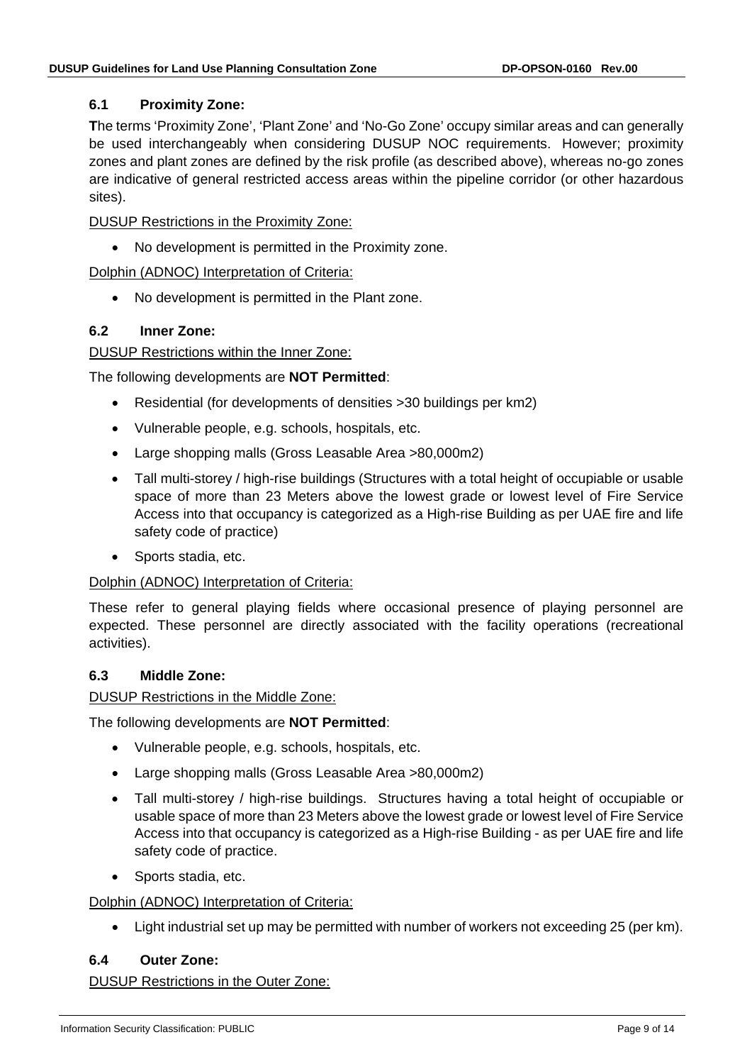#### <span id="page-8-0"></span>**6.1 Proximity Zone:**

**T**he terms 'Proximity Zone', 'Plant Zone' and 'No-Go Zone' occupy similar areas and can generally be used interchangeably when considering DUSUP NOC requirements. However; proximity zones and plant zones are defined by the risk profile (as described above), whereas no-go zones are indicative of general restricted access areas within the pipeline corridor (or other hazardous sites).

DUSUP Restrictions in the Proximity Zone:

• No development is permitted in the Proximity zone.

Dolphin (ADNOC) Interpretation of Criteria:

• No development is permitted in the Plant zone.

## <span id="page-8-1"></span>**6.2 Inner Zone:**

#### DUSUP Restrictions within the Inner Zone:

The following developments are **NOT Permitted**:

- Residential (for developments of densities >30 buildings per km2)
- Vulnerable people, e.g. schools, hospitals, etc.
- Large shopping malls (Gross Leasable Area >80,000m2)
- Tall multi-storey / high-rise buildings (Structures with a total height of occupiable or usable space of more than 23 Meters above the lowest grade or lowest level of Fire Service Access into that occupancy is categorized as a High-rise Building as per UAE fire and life safety code of practice)
- Sports stadia, etc.

#### Dolphin (ADNOC) Interpretation of Criteria:

These refer to general playing fields where occasional presence of playing personnel are expected. These personnel are directly associated with the facility operations (recreational activities).

#### <span id="page-8-2"></span>**6.3 Middle Zone:**

## DUSUP Restrictions in the Middle Zone:

The following developments are **NOT Permitted**:

- Vulnerable people, e.g. schools, hospitals, etc.
- Large shopping malls (Gross Leasable Area >80,000m2)
- Tall multi-storey / high-rise buildings. Structures having a total height of occupiable or usable space of more than 23 Meters above the lowest grade or lowest level of Fire Service Access into that occupancy is categorized as a High-rise Building - as per UAE fire and life safety code of practice.
- Sports stadia, etc.

#### Dolphin (ADNOC) Interpretation of Criteria:

• Light industrial set up may be permitted with number of workers not exceeding 25 (per km).

#### <span id="page-8-3"></span>**6.4 Outer Zone:**

DUSUP Restrictions in the Outer Zone: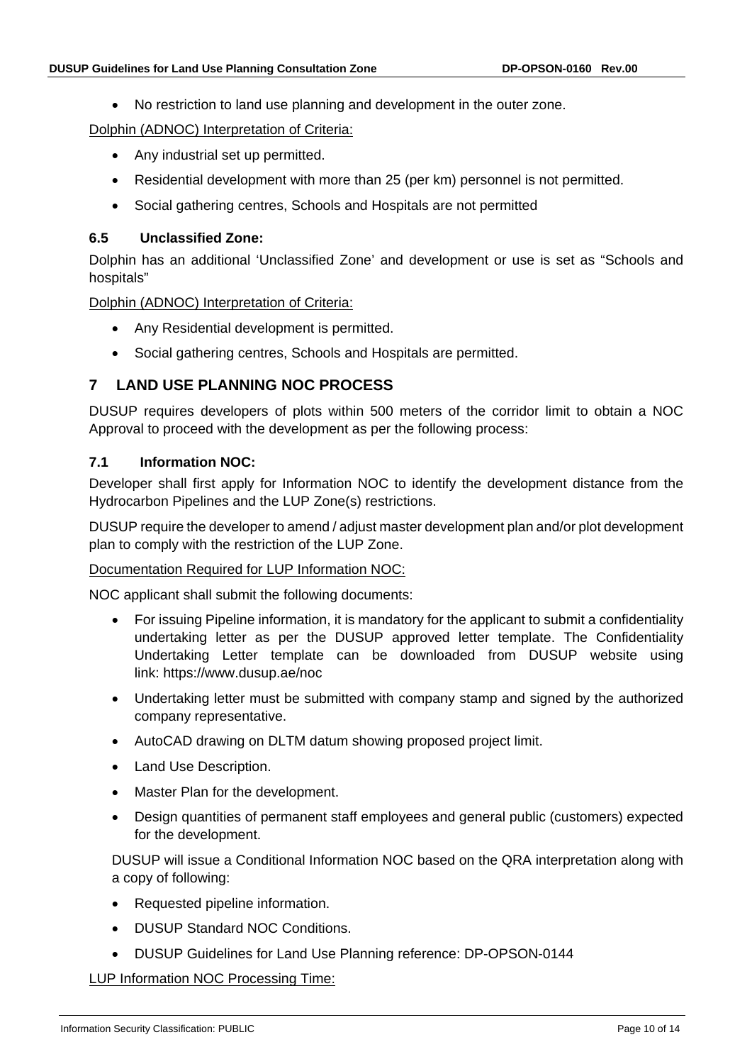• No restriction to land use planning and development in the outer zone.

Dolphin (ADNOC) Interpretation of Criteria:

- Any industrial set up permitted.
- Residential development with more than 25 (per km) personnel is not permitted.
- Social gathering centres, Schools and Hospitals are not permitted

#### <span id="page-9-0"></span>**6.5 Unclassified Zone:**

Dolphin has an additional 'Unclassified Zone' and development or use is set as "Schools and hospitals"

Dolphin (ADNOC) Interpretation of Criteria:

- Any Residential development is permitted.
- Social gathering centres, Schools and Hospitals are permitted.

## <span id="page-9-1"></span>**7 LAND USE PLANNING NOC PROCESS**

DUSUP requires developers of plots within 500 meters of the corridor limit to obtain a NOC Approval to proceed with the development as per the following process:

#### <span id="page-9-2"></span>**7.1 Information NOC:**

Developer shall first apply for Information NOC to identify the development distance from the Hydrocarbon Pipelines and the LUP Zone(s) restrictions.

DUSUP require the developer to amend / adjust master development plan and/or plot development plan to comply with the restriction of the LUP Zone.

#### Documentation Required for LUP Information NOC:

NOC applicant shall submit the following documents:

- For issuing Pipeline information, it is mandatory for the applicant to submit a confidentiality undertaking letter as per the DUSUP approved letter template. The Confidentiality Undertaking Letter template can be downloaded from DUSUP website using link: <https://www.dusup.ae/noc>
- Undertaking letter must be submitted with company stamp and signed by the authorized company representative.
- AutoCAD drawing on DLTM datum showing proposed project limit.
- Land Use Description.
- Master Plan for the development.
- Design quantities of permanent staff employees and general public (customers) expected for the development.

DUSUP will issue a Conditional Information NOC based on the QRA interpretation along with a copy of following:

- Requested pipeline information.
- DUSUP Standard NOC Conditions.
- DUSUP Guidelines for Land Use Planning reference: DP-OPSON-0144

LUP Information NOC Processing Time: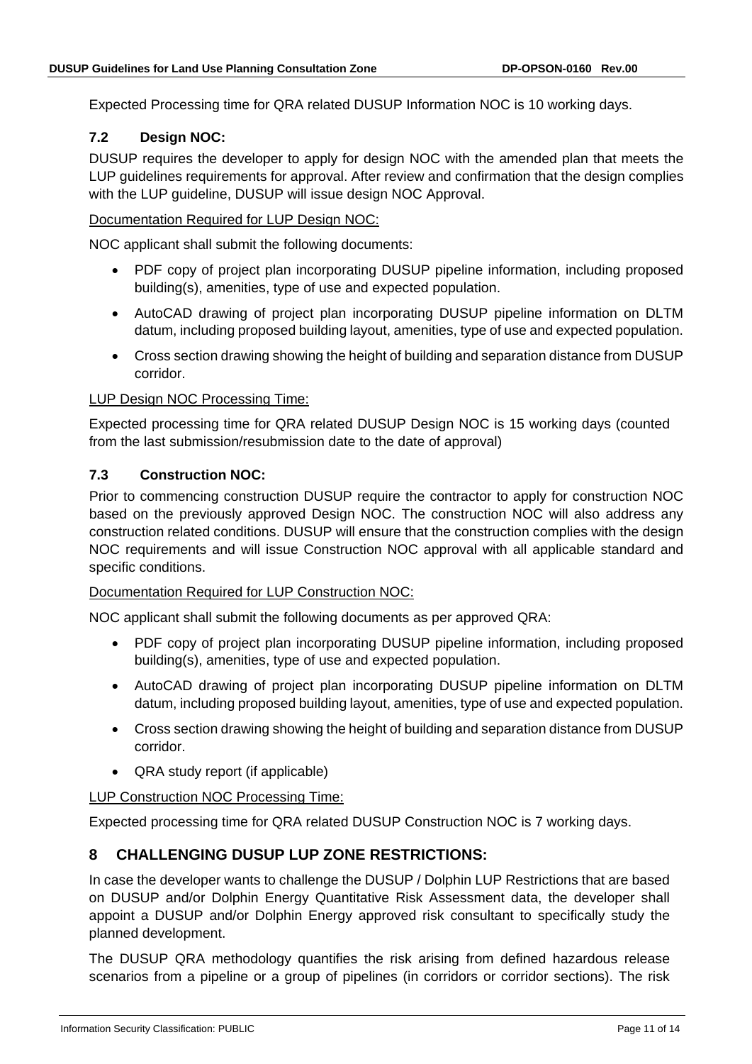Expected Processing time for QRA related DUSUP Information NOC is 10 working days.

## <span id="page-10-0"></span>**7.2 Design NOC:**

DUSUP requires the developer to apply for design NOC with the amended plan that meets the LUP guidelines requirements for approval. After review and confirmation that the design complies with the LUP guideline, DUSUP will issue design NOC Approval.

#### Documentation Required for LUP Design NOC:

NOC applicant shall submit the following documents:

- PDF copy of project plan incorporating DUSUP pipeline information, including proposed building(s), amenities, type of use and expected population.
- AutoCAD drawing of project plan incorporating DUSUP pipeline information on DLTM datum, including proposed building layout, amenities, type of use and expected population.
- Cross section drawing showing the height of building and separation distance from DUSUP corridor.

#### LUP Design NOC Processing Time:

Expected processing time for QRA related DUSUP Design NOC is 15 working days (counted from the last submission/resubmission date to the date of approval)

#### <span id="page-10-1"></span>**7.3 Construction NOC:**

Prior to commencing construction DUSUP require the contractor to apply for construction NOC based on the previously approved Design NOC. The construction NOC will also address any construction related conditions. DUSUP will ensure that the construction complies with the design NOC requirements and will issue Construction NOC approval with all applicable standard and specific conditions.

#### Documentation Required for LUP Construction NOC:

NOC applicant shall submit the following documents as per approved QRA:

- PDF copy of project plan incorporating DUSUP pipeline information, including proposed building(s), amenities, type of use and expected population.
- AutoCAD drawing of project plan incorporating DUSUP pipeline information on DLTM datum, including proposed building layout, amenities, type of use and expected population.
- Cross section drawing showing the height of building and separation distance from DUSUP corridor.
- QRA study report (if applicable)

#### LUP Construction NOC Processing Time:

Expected processing time for QRA related DUSUP Construction NOC is 7 working days.

## <span id="page-10-2"></span>**8 CHALLENGING DUSUP LUP ZONE RESTRICTIONS:**

In case the developer wants to challenge the DUSUP / Dolphin LUP Restrictions that are based on DUSUP and/or Dolphin Energy Quantitative Risk Assessment data, the developer shall appoint a DUSUP and/or Dolphin Energy approved risk consultant to specifically study the planned development.

The DUSUP QRA methodology quantifies the risk arising from defined hazardous release scenarios from a pipeline or a group of pipelines (in corridors or corridor sections). The risk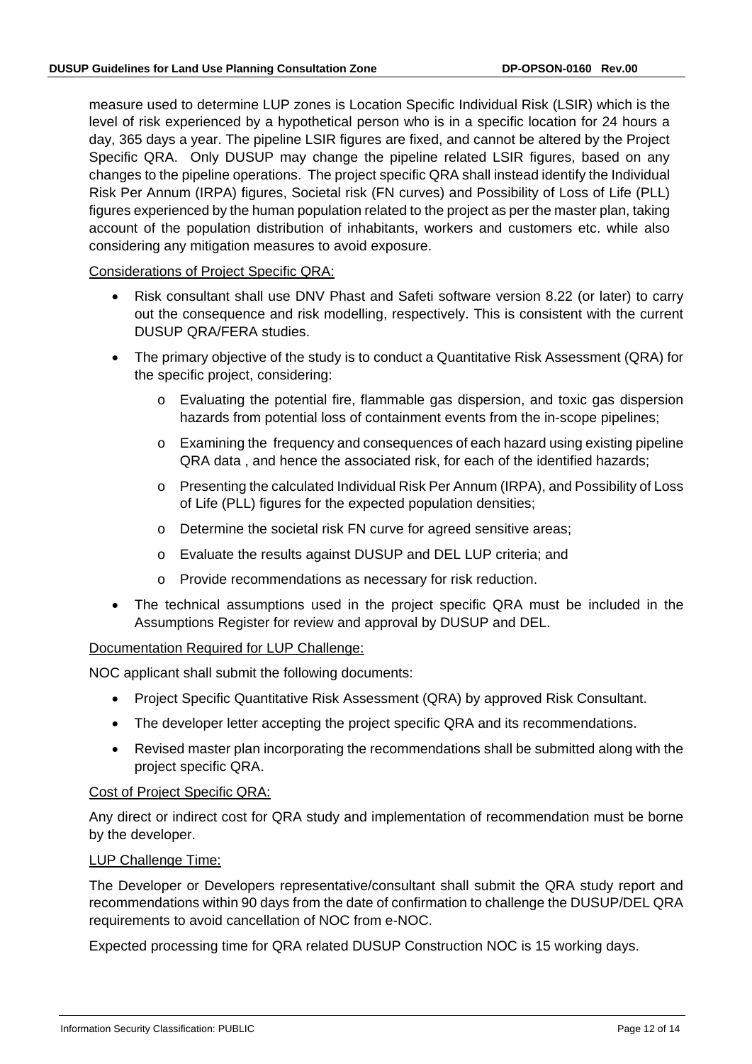measure used to determine LUP zones is Location Specific Individual Risk (LSIR) which is the level of risk experienced by a hypothetical person who is in a specific location for 24 hours a day, 365 days a year. The pipeline LSIR figures are fixed, and cannot be altered by the Project Specific QRA. Only DUSUP may change the pipeline related LSIR figures, based on any changes to the pipeline operations. The project specific QRA shall instead identify the Individual Risk Per Annum (IRPA) figures, Societal risk (FN curves) and Possibility of Loss of Life (PLL) figures experienced by the human population related to the project as per the master plan, taking account of the population distribution of inhabitants, workers and customers etc. while also considering any mitigation measures to avoid exposure.

Considerations of Project Specific QRA:

- Risk consultant shall use DNV Phast and Safeti software version 8.22 (or later) to carry out the consequence and risk modelling, respectively. This is consistent with the current DUSUP QRA/FERA studies.
- The primary objective of the study is to conduct a Quantitative Risk Assessment (QRA) for the specific project, considering:
	- o Evaluating the potential fire, flammable gas dispersion, and toxic gas dispersion hazards from potential loss of containment events from the in-scope pipelines;
	- o Examining the frequency and consequences of each hazard using existing pipeline QRA data , and hence the associated risk, for each of the identified hazards;
	- o Presenting the calculated Individual Risk Per Annum (IRPA), and Possibility of Loss of Life (PLL) figures for the expected population densities;
	- o Determine the societal risk FN curve for agreed sensitive areas;
	- o Evaluate the results against DUSUP and DEL LUP criteria; and
	- o Provide recommendations as necessary for risk reduction.
- The technical assumptions used in the project specific QRA must be included in the Assumptions Register for review and approval by DUSUP and DEL.

Documentation Required for LUP Challenge:

NOC applicant shall submit the following documents:

- Project Specific Quantitative Risk Assessment (QRA) by approved Risk Consultant.
- The developer letter accepting the project specific QRA and its recommendations.
- Revised master plan incorporating the recommendations shall be submitted along with the project specific QRA.

#### Cost of Project Specific QRA:

Any direct or indirect cost for QRA study and implementation of recommendation must be borne by the developer.

#### LUP Challenge Time:

The Developer or Developers representative/consultant shall submit the QRA study report and recommendations within 90 days from the date of confirmation to challenge the DUSUP/DEL QRA requirements to avoid cancellation of NOC from e-NOC.

Expected processing time for QRA related DUSUP Construction NOC is 15 working days.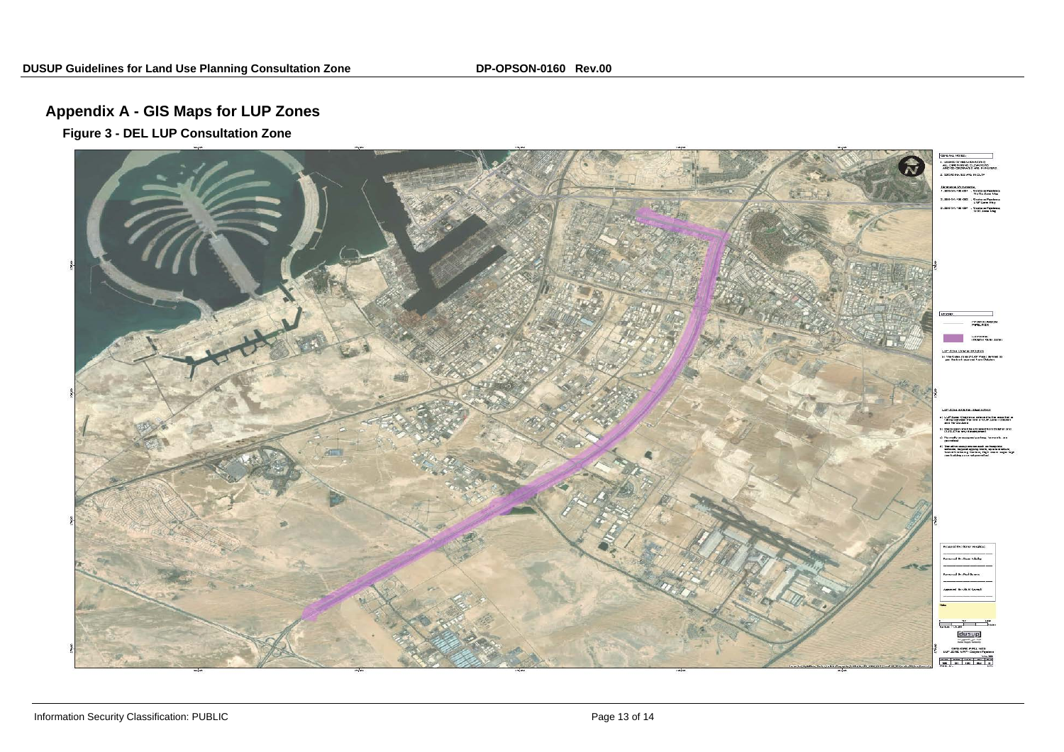# **Appendix A - GIS Maps for LUP Zones**

**Figure 3 - DEL LUP Consultation Zone**

<span id="page-12-0"></span>